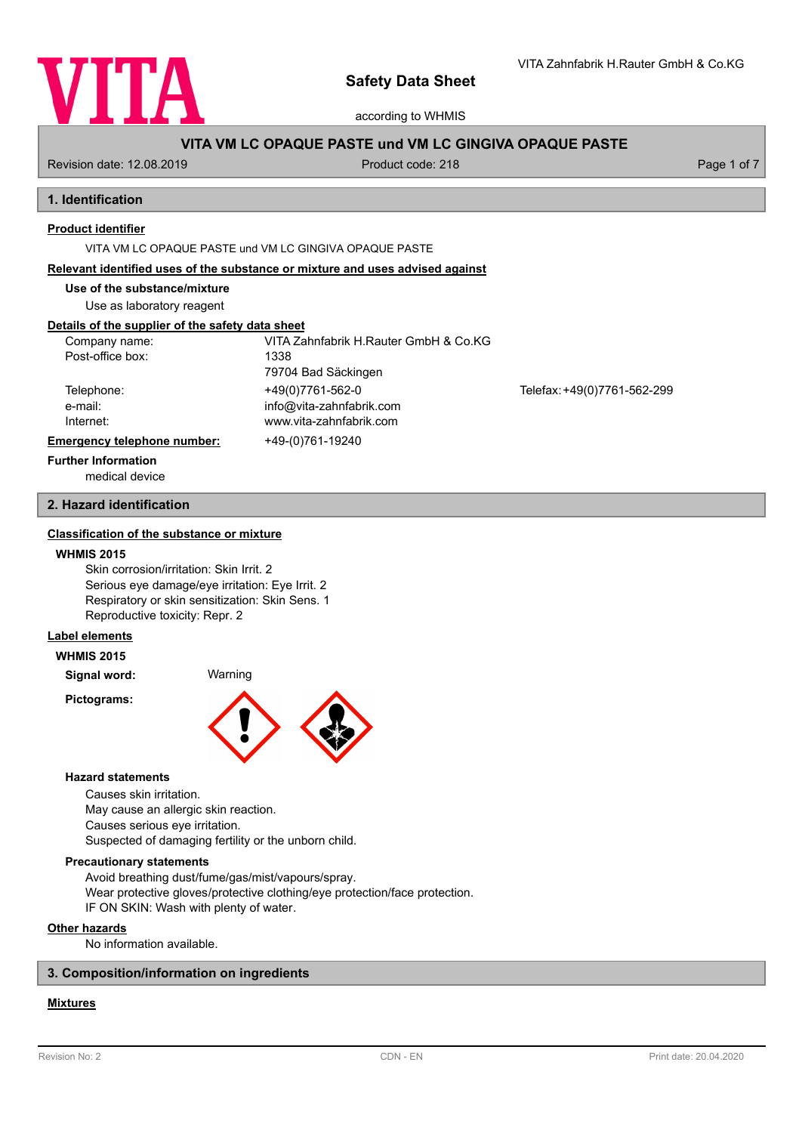

according to WHMIS

# **VITA VM LC OPAQUE PASTE und VM LC GINGIVA OPAQUE PASTE**

Revision date: 12.08.2019 **Product code: 218** Product code: 218 **Page 1 of 7** Page 1 of 7

# **1. Identification**

# **Product identifier**

VITA VM LC OPAQUE PASTE und VM LC GINGIVA OPAQUE PASTE

#### **Relevant identified uses of the substance or mixture and uses advised against**

**Use of the substance/mixture**

Use as laboratory reagent

# **Details of the supplier of the safety data sheet**

| Company name:               | VITA Zahnfabrik H.Rauter GmbH & Co.KG |                             |
|-----------------------------|---------------------------------------|-----------------------------|
| Post-office box:            | 1338                                  |                             |
|                             | 79704 Bad Säckingen                   |                             |
| Telephone:                  | +49(0)7761-562-0                      | Telefax: +49(0)7761-562-299 |
| e-mail:                     | info@vita-zahnfabrik.com              |                             |
| Internet:                   | www.vita-zahnfabrik.com               |                             |
| Emergency telephone number: | +49-(0)761-19240                      |                             |
| <b>Further Information</b>  |                                       |                             |

medical device

# **2. Hazard identification**

# **Classification of the substance or mixture**

#### **WHMIS 2015**

Skin corrosion/irritation: Skin Irrit. 2 Serious eye damage/eye irritation: Eye Irrit. 2 Respiratory or skin sensitization: Skin Sens. 1 Reproductive toxicity: Repr. 2

# **Label elements**

**WHMIS 2015**

**Signal word:** Warning

**Pictograms:**



#### **Hazard statements**

Causes skin irritation. May cause an allergic skin reaction. Causes serious eye irritation. Suspected of damaging fertility or the unborn child.

#### **Precautionary statements**

Avoid breathing dust/fume/gas/mist/vapours/spray. Wear protective gloves/protective clothing/eye protection/face protection. IF ON SKIN: Wash with plenty of water.

# **Other hazards**

No information available.

### **3. Composition/information on ingredients**

# **Mixtures**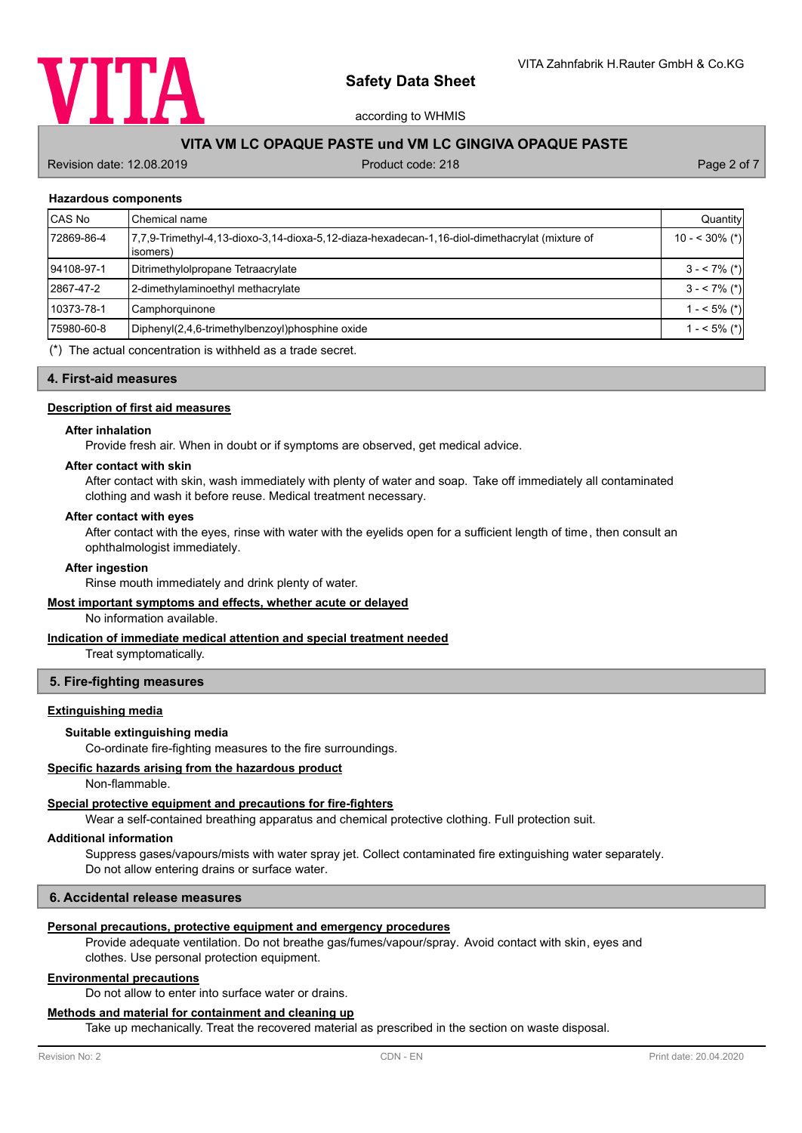

according to WHMIS

# **VITA VM LC OPAQUE PASTE und VM LC GINGIVA OPAQUE PASTE**

Revision date: 12.08.2019 **Product code: 218** Product code: 218 **Page 2 of 7** Page 2 of 7

#### **Hazardous components**

| <b>CAS No</b> | Chemical name                                                                                              | Quantity         |
|---------------|------------------------------------------------------------------------------------------------------------|------------------|
| 72869-86-4    | 7.7.9-Trimethyl-4.13-dioxo-3.14-dioxa-5.12-diaza-hexadecan-1.16-diol-dimethacrylat (mixture of<br>isomers) | $10 - 530\%$ (*) |
| 94108-97-1    | Ditrimethylolpropane Tetraacrylate                                                                         | $3 - 7\%$ (*)    |
| 2867-47-2     | 2-dimethylaminoethyl methacrylate                                                                          | $3 - 7\%$ (*)    |
| 10373-78-1    | Camphorquinone                                                                                             | $1 - 5\%$ (*)    |
| 75980-60-8    | Diphenyl(2,4,6-trimethylbenzoyl)phosphine oxide                                                            | $1 - 5\%$ (*)    |
|               |                                                                                                            |                  |

(\*) The actual concentration is withheld as a trade secret.

#### **4. First-aid measures**

#### **Description of first aid measures**

#### **After inhalation**

Provide fresh air. When in doubt or if symptoms are observed, get medical advice.

# **After contact with skin**

After contact with skin, wash immediately with plenty of water and soap. Take off immediately all contaminated clothing and wash it before reuse. Medical treatment necessary.

#### **After contact with eyes**

After contact with the eyes, rinse with water with the eyelids open for a sufficient length of time, then consult an ophthalmologist immediately.

#### **After ingestion**

Rinse mouth immediately and drink plenty of water.

#### **Most important symptoms and effects, whether acute or delayed**

No information available.

#### **Indication of immediate medical attention and special treatment needed**

Treat symptomatically.

#### **5. Fire-fighting measures**

#### **Extinguishing media**

#### **Suitable extinguishing media**

Co-ordinate fire-fighting measures to the fire surroundings.

# **Specific hazards arising from the hazardous product**

Non-flammable.

#### **Special protective equipment and precautions for fire-fighters**

Wear a self-contained breathing apparatus and chemical protective clothing. Full protection suit.

#### **Additional information**

Suppress gases/vapours/mists with water spray jet. Collect contaminated fire extinguishing water separately. Do not allow entering drains or surface water.

#### **6. Accidental release measures**

#### **Personal precautions, protective equipment and emergency procedures**

Provide adequate ventilation. Do not breathe gas/fumes/vapour/spray. Avoid contact with skin, eyes and clothes. Use personal protection equipment.

#### **Environmental precautions**

Do not allow to enter into surface water or drains.

#### **Methods and material for containment and cleaning up**

Take up mechanically. Treat the recovered material as prescribed in the section on waste disposal.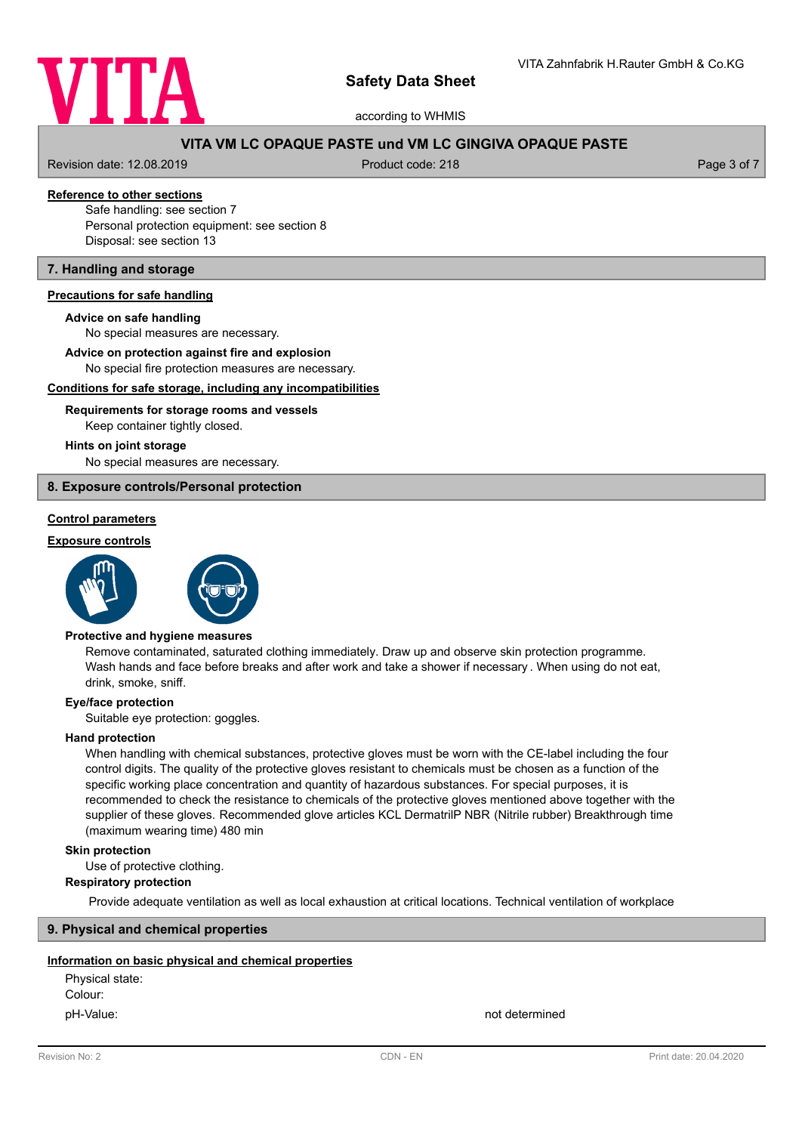

according to WHMIS

# **VITA VM LC OPAQUE PASTE und VM LC GINGIVA OPAQUE PASTE**

Revision date: 12.08.2019 **Product code: 218** Product code: 218 **Page 3 of 7** Page 3 of 7

# **Reference to other sections**

Safe handling: see section 7 Personal protection equipment: see section 8 Disposal: see section 13

# **7. Handling and storage**

#### **Precautions for safe handling**

#### **Advice on safe handling**

No special measures are necessary.

**Advice on protection against fire and explosion**

No special fire protection measures are necessary.

#### **Conditions for safe storage, including any incompatibilities**

# Keep container tightly closed. **Requirements for storage rooms and vessels**

#### **Hints on joint storage**

No special measures are necessary.

### **8. Exposure controls/Personal protection**

# **Control parameters**

#### **Exposure controls**





#### **Protective and hygiene measures**

Remove contaminated, saturated clothing immediately. Draw up and observe skin protection programme. Wash hands and face before breaks and after work and take a shower if necessary . When using do not eat, drink, smoke, sniff.

#### **Eye/face protection**

Suitable eye protection: goggles.

#### **Hand protection**

When handling with chemical substances, protective gloves must be worn with the CE-label including the four control digits. The quality of the protective gloves resistant to chemicals must be chosen as a function of the specific working place concentration and quantity of hazardous substances. For special purposes, it is recommended to check the resistance to chemicals of the protective gloves mentioned above together with the supplier of these gloves. Recommended glove articles KCL DermatrilP NBR (Nitrile rubber) Breakthrough time (maximum wearing time) 480 min

# **Skin protection**

Use of protective clothing.

#### **Respiratory protection**

Provide adequate ventilation as well as local exhaustion at critical locations. Technical ventilation of workplace

#### **9. Physical and chemical properties**

#### **Information on basic physical and chemical properties**

Physical state: Colour: pH-Value: not determined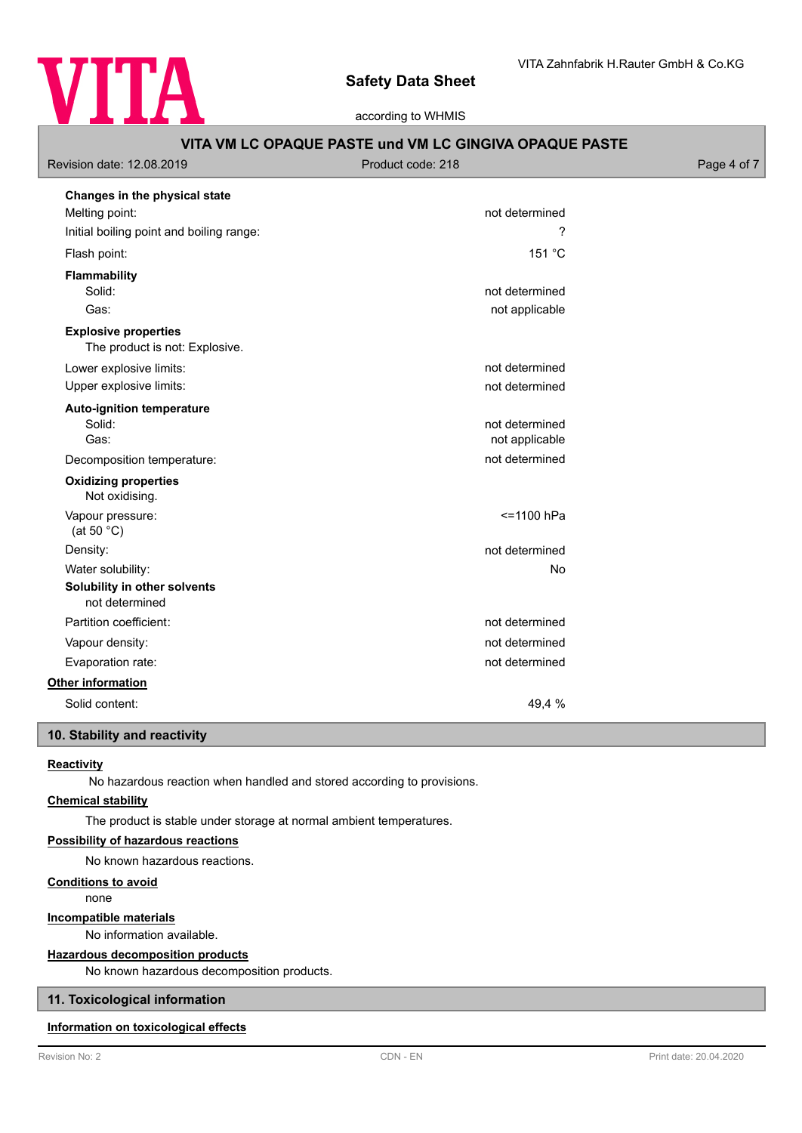

according to WHMIS

| Revision date: 12.08.2019                                     | Product code: 218                | Page 4 of 7 |
|---------------------------------------------------------------|----------------------------------|-------------|
| Changes in the physical state<br>Melting point:               | not determined                   |             |
| Initial boiling point and boiling range:                      | ?                                |             |
| Flash point:                                                  | 151 °C                           |             |
| <b>Flammability</b><br>Solid:<br>Gas:                         | not determined<br>not applicable |             |
| <b>Explosive properties</b><br>The product is not: Explosive. |                                  |             |
| Lower explosive limits:                                       | not determined                   |             |
| Upper explosive limits:                                       | not determined                   |             |
| <b>Auto-ignition temperature</b><br>Solid:<br>Gas:            | not determined<br>not applicable |             |
| Decomposition temperature:                                    | not determined                   |             |
| <b>Oxidizing properties</b><br>Not oxidising.                 |                                  |             |
| Vapour pressure:<br>(at 50 $^{\circ}$ C)                      | <= 1100 hPa                      |             |
| Density:                                                      | not determined                   |             |
| Water solubility:                                             | No                               |             |
| Solubility in other solvents<br>not determined                |                                  |             |
| Partition coefficient:                                        | not determined                   |             |
| Vapour density:                                               | not determined                   |             |
| Evaporation rate:                                             | not determined                   |             |
| Other information                                             |                                  |             |
| Solid content:                                                | 49,4 %                           |             |

# **10. Stability and reactivity**

# **Reactivity**

No hazardous reaction when handled and stored according to provisions.

# **Chemical stability**

The product is stable under storage at normal ambient temperatures.

# **Possibility of hazardous reactions**

No known hazardous reactions.

# **Conditions to avoid**

none

#### **Incompatible materials**

No information available.

#### **Hazardous decomposition products**

No known hazardous decomposition products.

# **11. Toxicological information**

# **Information on toxicological effects**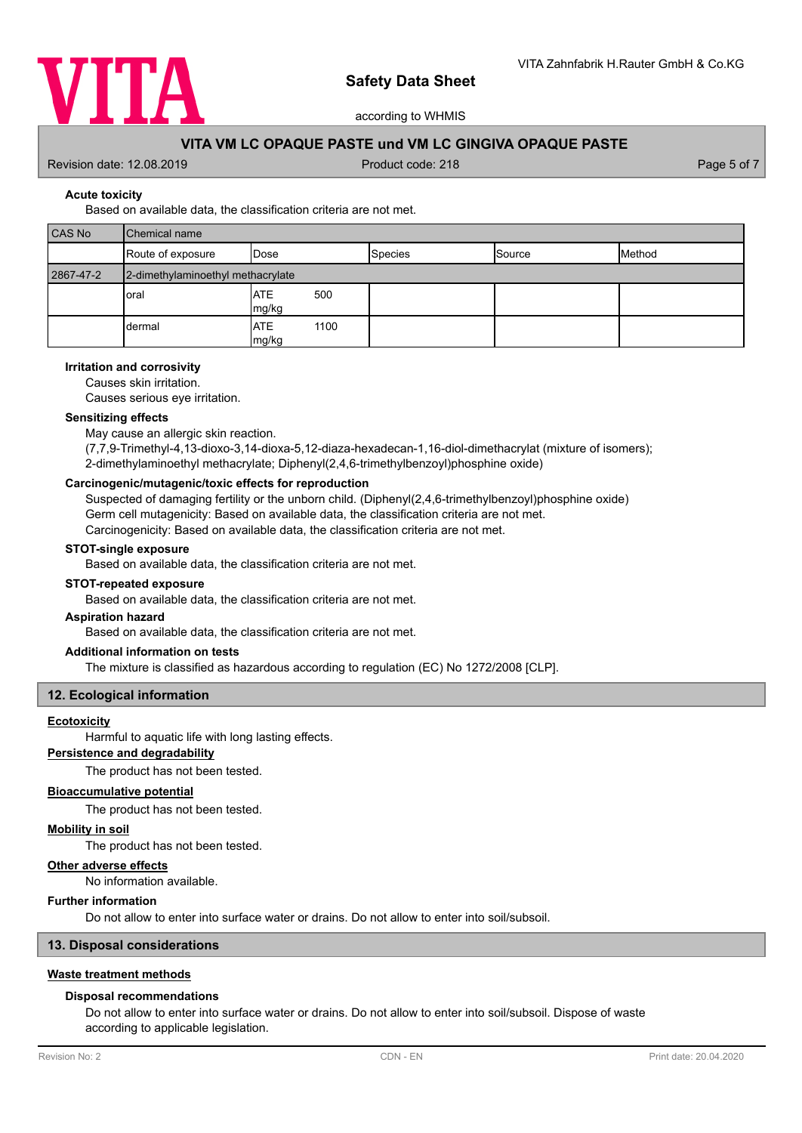

according to WHMIS

# **VITA VM LC OPAQUE PASTE und VM LC GINGIVA OPAQUE PASTE**

Revision date: 12.08.2019 **Product code: 218** Product code: 218 **Page 5 of 7** Page 5 of 7

#### **Acute toxicity**

# Based on available data, the classification criteria are not met.

| CAS No    | <b>Chemical name</b>              |                             |                |        |        |
|-----------|-----------------------------------|-----------------------------|----------------|--------|--------|
|           | Route of exposure                 | <b>I</b> Dose               | <b>Species</b> | Source | Method |
| 2867-47-2 | 2-dimethylaminoethyl methacrylate |                             |                |        |        |
|           | oral                              | <b>ATE</b><br>500<br>mg/kg  |                |        |        |
|           | dermal                            | <b>ATE</b><br>1100<br>mg/kg |                |        |        |

#### **Irritation and corrosivity**

Causes skin irritation.

Causes serious eye irritation.

#### **Sensitizing effects**

May cause an allergic skin reaction.

(7,7,9-Trimethyl-4,13-dioxo-3,14-dioxa-5,12-diaza-hexadecan-1,16-diol-dimethacrylat (mixture of isomers); 2-dimethylaminoethyl methacrylate; Diphenyl(2,4,6-trimethylbenzoyl)phosphine oxide)

#### **Carcinogenic/mutagenic/toxic effects for reproduction**

Suspected of damaging fertility or the unborn child. (Diphenyl(2,4,6-trimethylbenzoyl)phosphine oxide) Germ cell mutagenicity: Based on available data, the classification criteria are not met. Carcinogenicity: Based on available data, the classification criteria are not met.

#### **STOT-single exposure**

Based on available data, the classification criteria are not met.

#### **STOT-repeated exposure**

Based on available data, the classification criteria are not met.

# **Aspiration hazard**

Based on available data, the classification criteria are not met.

#### **Additional information on tests**

The mixture is classified as hazardous according to regulation (EC) No 1272/2008 [CLP].

# **12. Ecological information**

#### **Ecotoxicity**

Harmful to aquatic life with long lasting effects.

# **Persistence and degradability**

The product has not been tested.

# **Bioaccumulative potential**

The product has not been tested.

#### **Mobility in soil**

The product has not been tested.

# **Other adverse effects**

No information available.

#### **Further information**

Do not allow to enter into surface water or drains. Do not allow to enter into soil/subsoil.

# **13. Disposal considerations**

#### **Waste treatment methods**

#### **Disposal recommendations**

Do not allow to enter into surface water or drains. Do not allow to enter into soil/subsoil. Dispose of waste according to applicable legislation.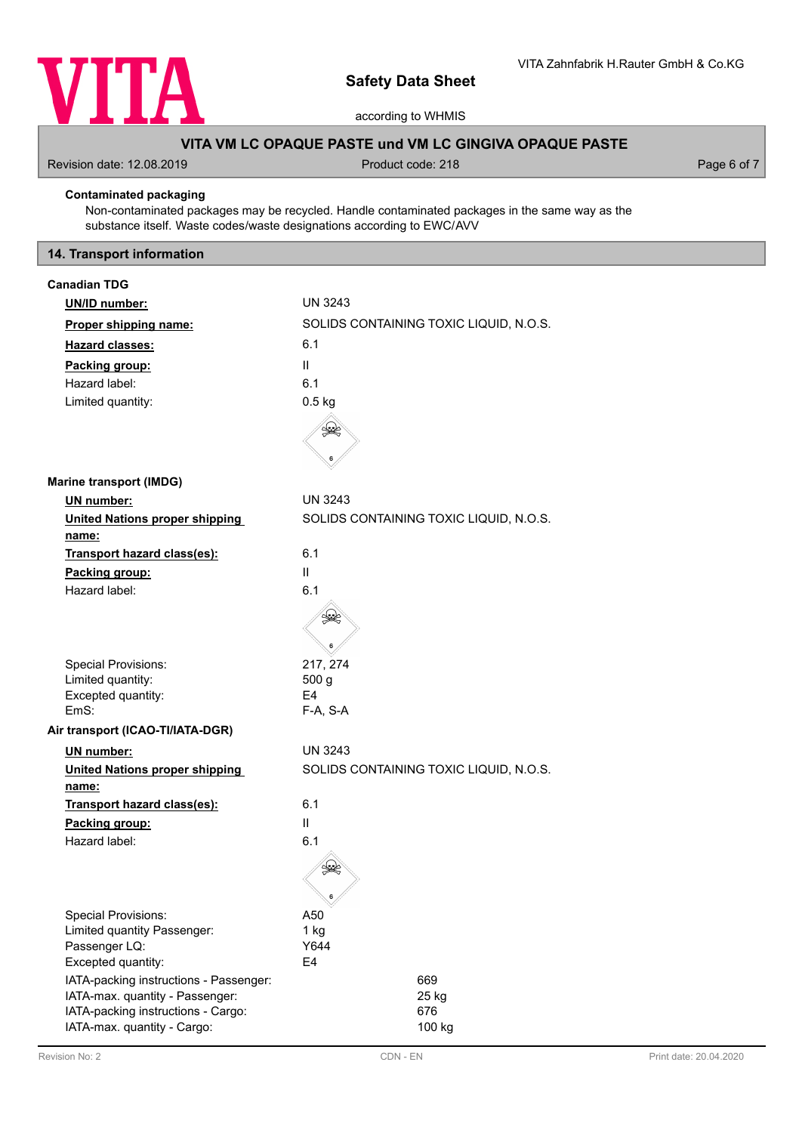

according to WHMIS

# **VITA VM LC OPAQUE PASTE und VM LC GINGIVA OPAQUE PASTE**

Revision date: 12.08.2019 **Product code: 218** Product code: 218 **Page 6 of 7** Page 6 of 7

# **Contaminated packaging**

Non-contaminated packages may be recycled. Handle contaminated packages in the same way as the substance itself. Waste codes/waste designations according to EWC/AVV

# **14. Transport information**

| <b>Canadian TDG</b>                          |                                                                 |
|----------------------------------------------|-----------------------------------------------------------------|
| UN/ID number:                                | <b>UN 3243</b>                                                  |
| Proper shipping name:                        | SOLIDS CONTAINING TOXIC LIQUID, N.O.S.                          |
| <b>Hazard classes:</b>                       | 6.1                                                             |
| Packing group:                               | $\mathbf{H}$                                                    |
| Hazard label:                                | 6.1                                                             |
| Limited quantity:                            | $0.5$ kg                                                        |
|                                              | $\begin{smallmatrix} \mathbb{R} \ \mathbb{R} \end{smallmatrix}$ |
|                                              |                                                                 |
| <b>Marine transport (IMDG)</b>               |                                                                 |
| UN number:                                   | <b>UN 3243</b>                                                  |
| <b>United Nations proper shipping</b>        | SOLIDS CONTAINING TOXIC LIQUID, N.O.S.                          |
| <u>name:</u>                                 |                                                                 |
| Transport hazard class(es):                  | 6.1                                                             |
| Packing group:                               | $\mathbf{II}$                                                   |
| Hazard label:                                | 6.1                                                             |
|                                              | S                                                               |
|                                              |                                                                 |
|                                              |                                                                 |
| <b>Special Provisions:</b>                   | 217, 274                                                        |
| Limited quantity:                            | 500 <sub>g</sub><br>E4                                          |
| Excepted quantity:<br>EmS:                   | F-A, S-A                                                        |
| Air transport (ICAO-TI/IATA-DGR)             |                                                                 |
| UN number:                                   | UN 3243                                                         |
| <b>United Nations proper shipping</b>        | SOLIDS CONTAINING TOXIC LIQUID, N.O.S.                          |
| <u>name:</u>                                 |                                                                 |
| Transport hazard class(es):                  | 6.1                                                             |
| Packing group:                               | $\mathbf{II}$                                                   |
| Hazard label:                                | 6.1                                                             |
|                                              |                                                                 |
|                                              |                                                                 |
|                                              | 6                                                               |
| <b>Special Provisions:</b>                   | A50                                                             |
| Limited quantity Passenger:<br>Passenger LQ: | 1 kg<br>Y644                                                    |
| Excepted quantity:                           | E4                                                              |
| IATA-packing instructions - Passenger:       | 669                                                             |
| IATA-max. quantity - Passenger:              | 25 kg                                                           |
| IATA-packing instructions - Cargo:           | 676                                                             |
| IATA-max. quantity - Cargo:                  | 100 kg                                                          |